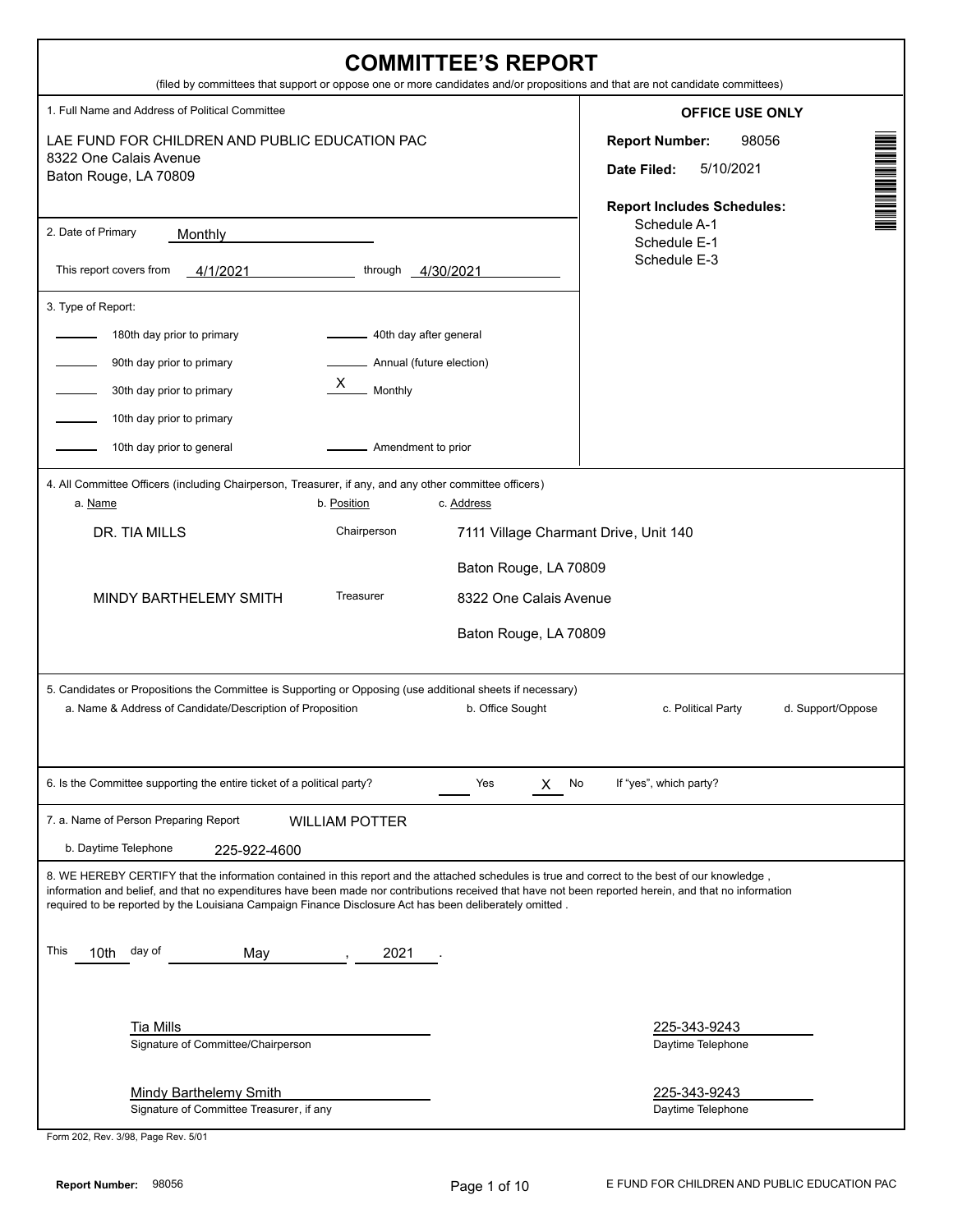| <b>COMMITTEE'S REPORT</b><br>(filed by committees that support or oppose one or more candidates and/or propositions and that are not candidate committees)                                                                                                                                                                                                                                                                                                    |                                                                                                                                                                                                                                                                                                                                                             |  |  |
|---------------------------------------------------------------------------------------------------------------------------------------------------------------------------------------------------------------------------------------------------------------------------------------------------------------------------------------------------------------------------------------------------------------------------------------------------------------|-------------------------------------------------------------------------------------------------------------------------------------------------------------------------------------------------------------------------------------------------------------------------------------------------------------------------------------------------------------|--|--|
| 1. Full Name and Address of Political Committee<br>LAE FUND FOR CHILDREN AND PUBLIC EDUCATION PAC<br>8322 One Calais Avenue<br>Baton Rouge, LA 70809                                                                                                                                                                                                                                                                                                          | <b>OFFICE USE ONLY</b><br>Notes and the second second to the second second second second second second second second second second second second second second second second second second second second second second second second second second secon<br>98056<br><b>Report Number:</b><br>5/10/2021<br>Date Filed:<br><b>Report Includes Schedules:</b> |  |  |
| 2. Date of Primary<br>Monthly<br>This report covers from<br>through<br>4/1/2021<br>4/30/2021                                                                                                                                                                                                                                                                                                                                                                  | Schedule A-1<br>Schedule E-1<br>Schedule E-3                                                                                                                                                                                                                                                                                                                |  |  |
| 3. Type of Report:<br>- 40th day after general<br>180th day prior to primary<br>Annual (future election)<br>90th day prior to primary<br>X<br>Monthly<br>30th day prior to primary<br>10th day prior to primary<br>10th day prior to general<br>Amendment to prior                                                                                                                                                                                            |                                                                                                                                                                                                                                                                                                                                                             |  |  |
| 4. All Committee Officers (including Chairperson, Treasurer, if any, and any other committee officers)<br>b. Position<br>a. Name<br>c. Address<br>Chairperson<br>DR. TIA MILLS<br>7111 Village Charmant Drive, Unit 140<br>Baton Rouge, LA 70809<br>Treasurer<br><b>MINDY BARTHELEMY SMITH</b><br>8322 One Calais Avenue<br>Baton Rouge, LA 70809                                                                                                             |                                                                                                                                                                                                                                                                                                                                                             |  |  |
| 5. Candidates or Propositions the Committee is Supporting or Opposing (use additional sheets if necessary)<br>a. Name & Address of Candidate/Description of Proposition<br>b. Office Sought                                                                                                                                                                                                                                                                   | c. Political Party<br>d. Support/Oppose                                                                                                                                                                                                                                                                                                                     |  |  |
| 6. Is the Committee supporting the entire ticket of a political party?<br>Yes<br>No<br>X                                                                                                                                                                                                                                                                                                                                                                      | If "yes", which party?                                                                                                                                                                                                                                                                                                                                      |  |  |
| 7. a. Name of Person Preparing Report<br><b>WILLIAM POTTER</b><br>b. Daytime Telephone<br>225-922-4600                                                                                                                                                                                                                                                                                                                                                        |                                                                                                                                                                                                                                                                                                                                                             |  |  |
| 8. WE HEREBY CERTIFY that the information contained in this report and the attached schedules is true and correct to the best of our knowledge,<br>information and belief, and that no expenditures have been made nor contributions received that have not been reported herein, and that no information<br>required to be reported by the Louisiana Campaign Finance Disclosure Act has been deliberately omitted.<br>This<br>day of<br>10th<br>2021<br>May |                                                                                                                                                                                                                                                                                                                                                             |  |  |
| <b>Tia Mills</b><br>Signature of Committee/Chairperson<br><b>Mindy Barthelemy Smith</b><br>Signature of Committee Treasurer, if any                                                                                                                                                                                                                                                                                                                           | 225-343-9243<br>Daytime Telephone<br>225-343-9243<br>Daytime Telephone                                                                                                                                                                                                                                                                                      |  |  |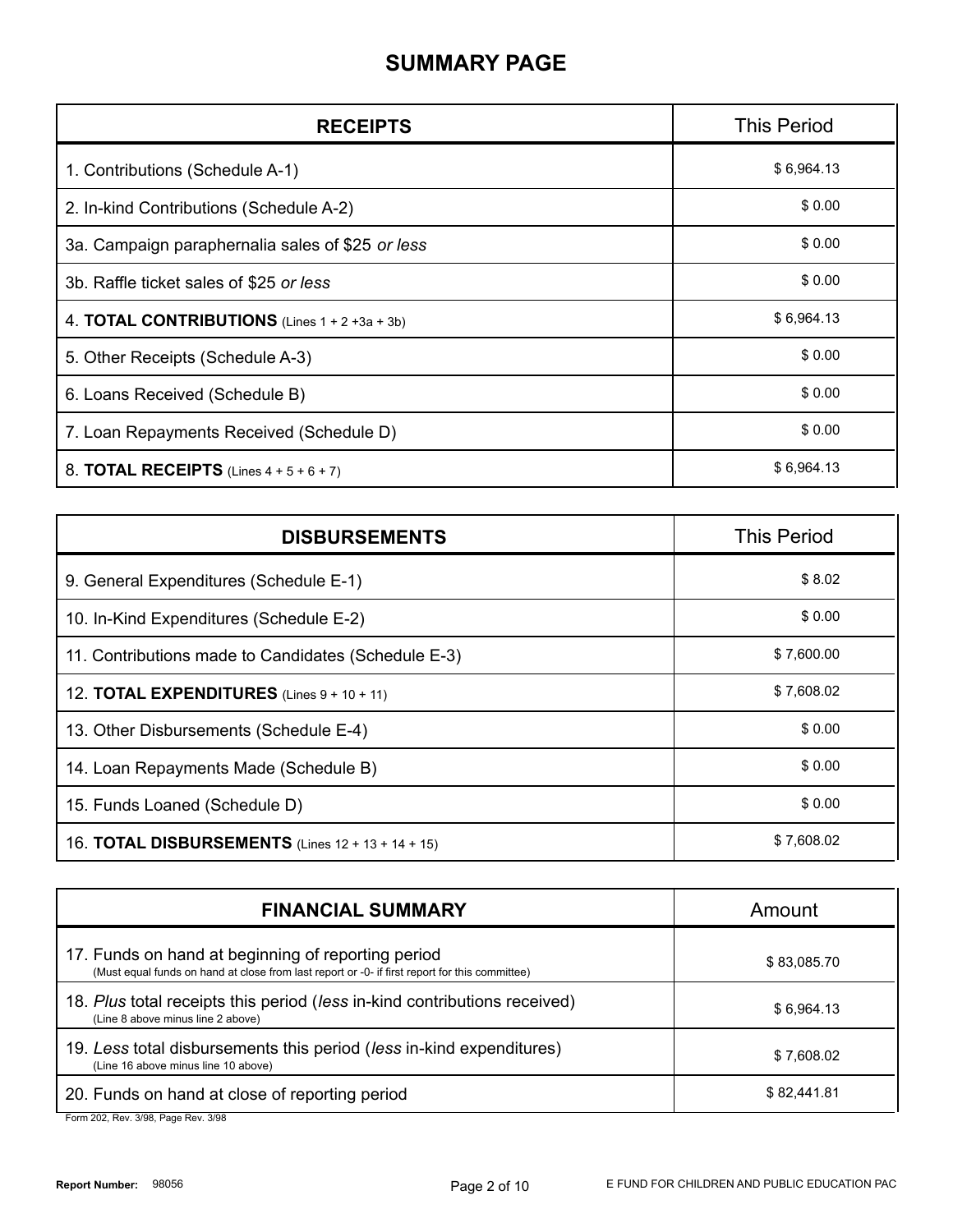## **SUMMARY PAGE**

| <b>RECEIPTS</b>                                          | <b>This Period</b> |
|----------------------------------------------------------|--------------------|
| 1. Contributions (Schedule A-1)                          | \$6,964.13         |
| 2. In-kind Contributions (Schedule A-2)                  | \$0.00             |
| 3a. Campaign paraphernalia sales of \$25 or less         | \$0.00             |
| 3b. Raffle ticket sales of \$25 or less                  | \$0.00             |
| 4. <b>TOTAL CONTRIBUTIONS</b> (Lines $1 + 2 + 3a + 3b$ ) | \$6,964.13         |
| 5. Other Receipts (Schedule A-3)                         | \$0.00             |
| 6. Loans Received (Schedule B)                           | \$0.00             |
| 7. Loan Repayments Received (Schedule D)                 | \$0.00             |
| 8. TOTAL RECEIPTS (Lines $4 + 5 + 6 + 7$ )               | \$6,964.13         |

| <b>DISBURSEMENTS</b>                                     | <b>This Period</b> |
|----------------------------------------------------------|--------------------|
| 9. General Expenditures (Schedule E-1)                   | \$8.02             |
| 10. In-Kind Expenditures (Schedule E-2)                  | \$0.00             |
| 11. Contributions made to Candidates (Schedule E-3)      | \$7,600.00         |
| 12. <b>TOTAL EXPENDITURES</b> (Lines $9 + 10 + 11$ )     | \$7,608.02         |
| 13. Other Disbursements (Schedule E-4)                   | \$0.00             |
| 14. Loan Repayments Made (Schedule B)                    | \$0.00             |
| 15. Funds Loaned (Schedule D)                            | \$0.00             |
| 16. <b>TOTAL DISBURSEMENTS</b> (Lines 12 + 13 + 14 + 15) | \$7,608.02         |

| <b>FINANCIAL SUMMARY</b>                                                                                                                             | Amount      |
|------------------------------------------------------------------------------------------------------------------------------------------------------|-------------|
| 17. Funds on hand at beginning of reporting period<br>(Must equal funds on hand at close from last report or -0- if first report for this committee) | \$83,085.70 |
| 18. Plus total receipts this period (less in-kind contributions received)<br>(Line 8 above minus line 2 above)                                       | \$6,964.13  |
| 19. Less total disbursements this period (less in-kind expenditures)<br>(Line 16 above minus line 10 above)                                          | \$7,608.02  |
| 20. Funds on hand at close of reporting period<br>$F_{2}$ $\ldots$ 000 $D_{2}$ $\ldots$ 0/00 $D_{2}$ $\ldots$ $D_{3}$ $\ldots$ 0/00                  | \$82,441.81 |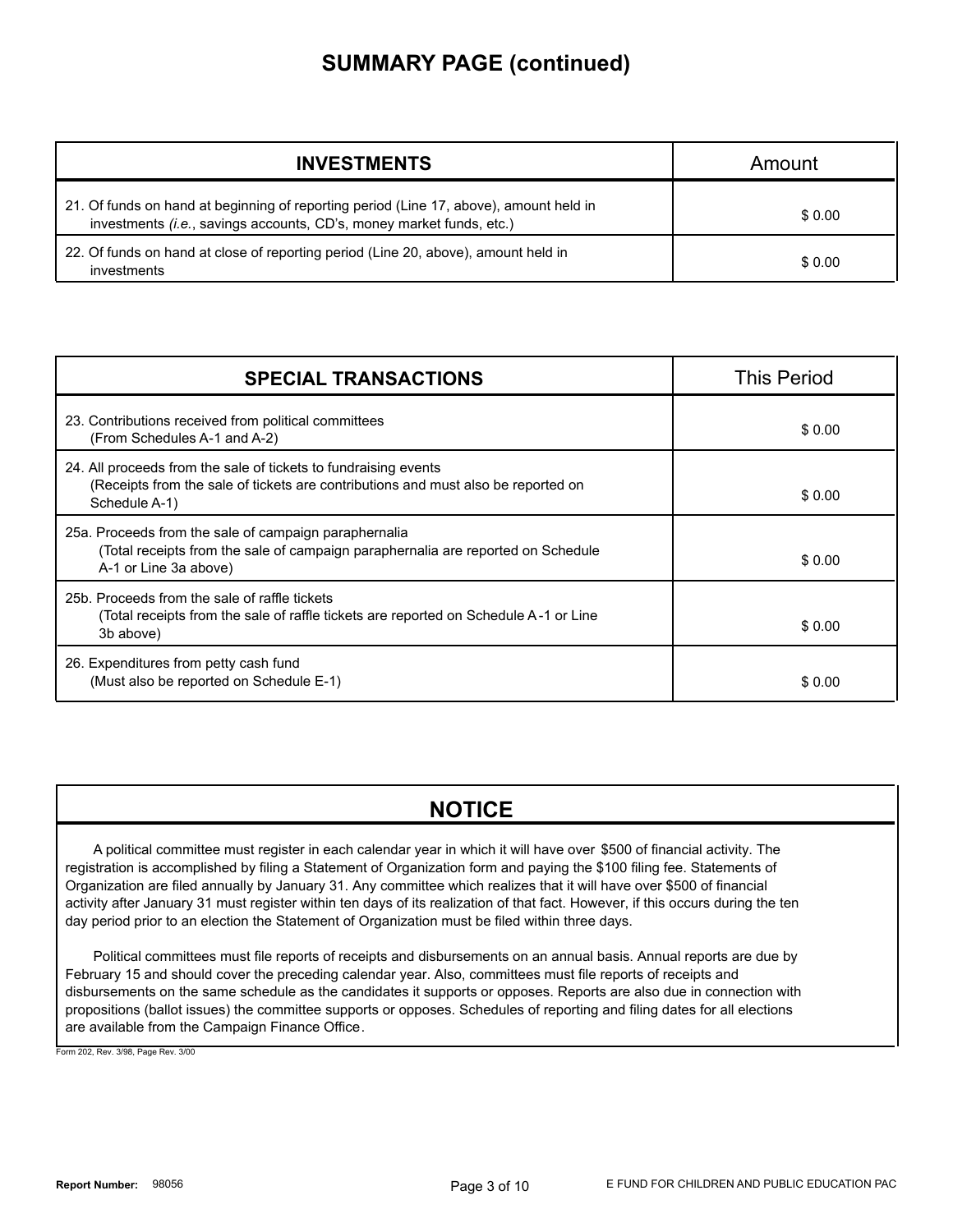## **SUMMARY PAGE (continued)**

| <b>INVESTMENTS</b>                                                                                                                                             | Amount |
|----------------------------------------------------------------------------------------------------------------------------------------------------------------|--------|
| 21. Of funds on hand at beginning of reporting period (Line 17, above), amount held in<br>investments (i.e., savings accounts, CD's, money market funds, etc.) | \$0.00 |
| 22. Of funds on hand at close of reporting period (Line 20, above), amount held in<br>investments                                                              | \$0.00 |

| <b>SPECIAL TRANSACTIONS</b>                                                                                                                                           | <b>This Period</b> |
|-----------------------------------------------------------------------------------------------------------------------------------------------------------------------|--------------------|
| 23. Contributions received from political committees<br>(From Schedules A-1 and A-2)                                                                                  | \$0.00             |
| 24. All proceeds from the sale of tickets to fundraising events<br>(Receipts from the sale of tickets are contributions and must also be reported on<br>Schedule A-1) | \$0.00             |
| 25a. Proceeds from the sale of campaign paraphernalia<br>(Total receipts from the sale of campaign paraphernalia are reported on Schedule<br>A-1 or Line 3a above)    | \$0.00             |
| 25b. Proceeds from the sale of raffle tickets<br>(Total receipts from the sale of raffle tickets are reported on Schedule A-1 or Line<br>3b above)                    | \$0.00             |
| 26. Expenditures from petty cash fund<br>(Must also be reported on Schedule E-1)                                                                                      | \$0.00             |

### **NOTICE**

A political committee must register in each calendar year in which it will have over \$500 of financial activity. The registration is accomplished by filing a Statement of Organization form and paying the \$100 filing fee. Statements of Organization are filed annually by January 31. Any committee which realizes that it will have over \$500 of financial activity after January 31 must register within ten days of its realization of that fact. However, if this occurs during the ten day period prior to an election the Statement of Organization must be filed within three days.

Political committees must file reports of receipts and disbursements on an annual basis. Annual reports are due by February 15 and should cover the preceding calendar year. Also, committees must file reports of receipts and disbursements on the same schedule as the candidates it supports or opposes. Reports are also due in connection with propositions (ballot issues) the committee supports or opposes. Schedules of reporting and filing dates for all elections are available from the Campaign Finance Office.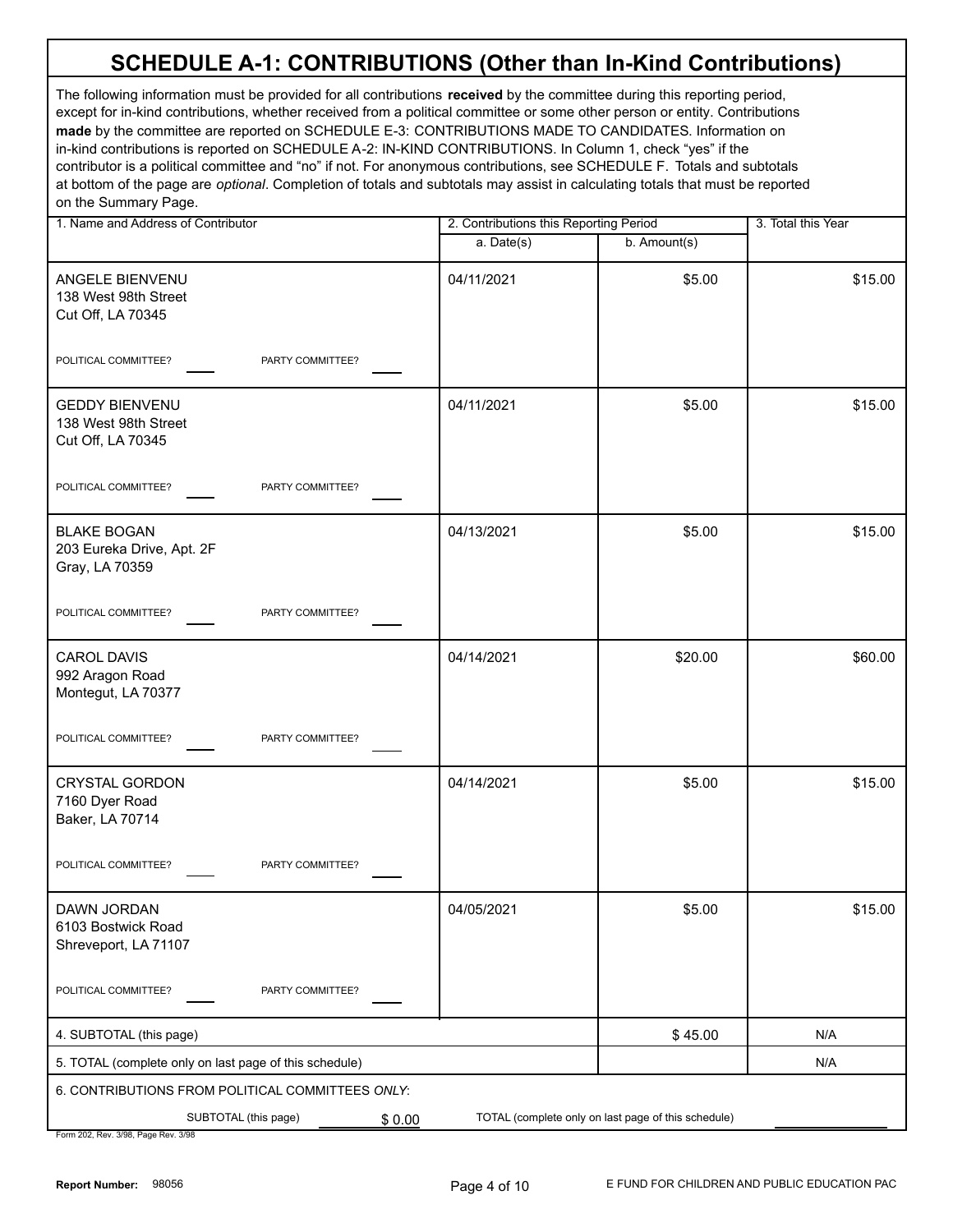# **SCHEDULE A-1: CONTRIBUTIONS (Other than In-Kind Contributions)**

The following information must be provided for all contributions **received** by the committee during this reporting period, except for in-kind contributions, whether received from a political committee or some other person or entity. Contributions **made** by the committee are reported on SCHEDULE E-3: CONTRIBUTIONS MADE TO CANDIDATES. Information on in-kind contributions is reported on SCHEDULE A-2: IN-KIND CONTRIBUTIONS. In Column 1, check "yes" if the contributor is a political committee and "no" if not. For anonymous contributions, see SCHEDULE F. Totals and subtotals at bottom of the page are *optional*. Completion of totals and subtotals may assist in calculating totals that must be reported on the Summary Page.

| 1. Name and Address of Contributor                                 | 2. Contributions this Reporting Period |                                                     | 3. Total this Year |
|--------------------------------------------------------------------|----------------------------------------|-----------------------------------------------------|--------------------|
|                                                                    | $a.$ Date(s)                           | b. Amount(s)                                        |                    |
| ANGELE BIENVENU<br>138 West 98th Street<br>Cut Off, LA 70345       | 04/11/2021                             | \$5.00                                              | \$15.00            |
| POLITICAL COMMITTEE?<br>PARTY COMMITTEE?                           |                                        |                                                     |                    |
| <b>GEDDY BIENVENU</b><br>138 West 98th Street<br>Cut Off, LA 70345 | 04/11/2021                             | \$5.00                                              | \$15.00            |
| PARTY COMMITTEE?<br>POLITICAL COMMITTEE?                           |                                        |                                                     |                    |
| <b>BLAKE BOGAN</b><br>203 Eureka Drive, Apt. 2F<br>Gray, LA 70359  | 04/13/2021                             | \$5.00                                              | \$15.00            |
| POLITICAL COMMITTEE?<br>PARTY COMMITTEE?                           |                                        |                                                     |                    |
| <b>CAROL DAVIS</b><br>992 Aragon Road<br>Montegut, LA 70377        | 04/14/2021                             | \$20.00                                             | \$60.00            |
| POLITICAL COMMITTEE?<br>PARTY COMMITTEE?                           |                                        |                                                     |                    |
| <b>CRYSTAL GORDON</b><br>7160 Dyer Road<br>Baker, LA 70714         | 04/14/2021                             | \$5.00                                              | \$15.00            |
| POLITICAL COMMITTEE?<br>PARTY COMMITTEE?                           |                                        |                                                     |                    |
| DAWN JORDAN<br>6103 Bostwick Road<br>Shreveport, LA 71107          | 04/05/2021                             | \$5.00                                              | \$15.00            |
| POLITICAL COMMITTEE?<br>PARTY COMMITTEE?                           |                                        |                                                     |                    |
| 4. SUBTOTAL (this page)                                            |                                        | \$45.00                                             | N/A                |
| 5. TOTAL (complete only on last page of this schedule)             |                                        |                                                     | N/A                |
| 6. CONTRIBUTIONS FROM POLITICAL COMMITTEES ONLY:                   |                                        |                                                     |                    |
| SUBTOTAL (this page)<br>\$0.00                                     |                                        | TOTAL (complete only on last page of this schedule) |                    |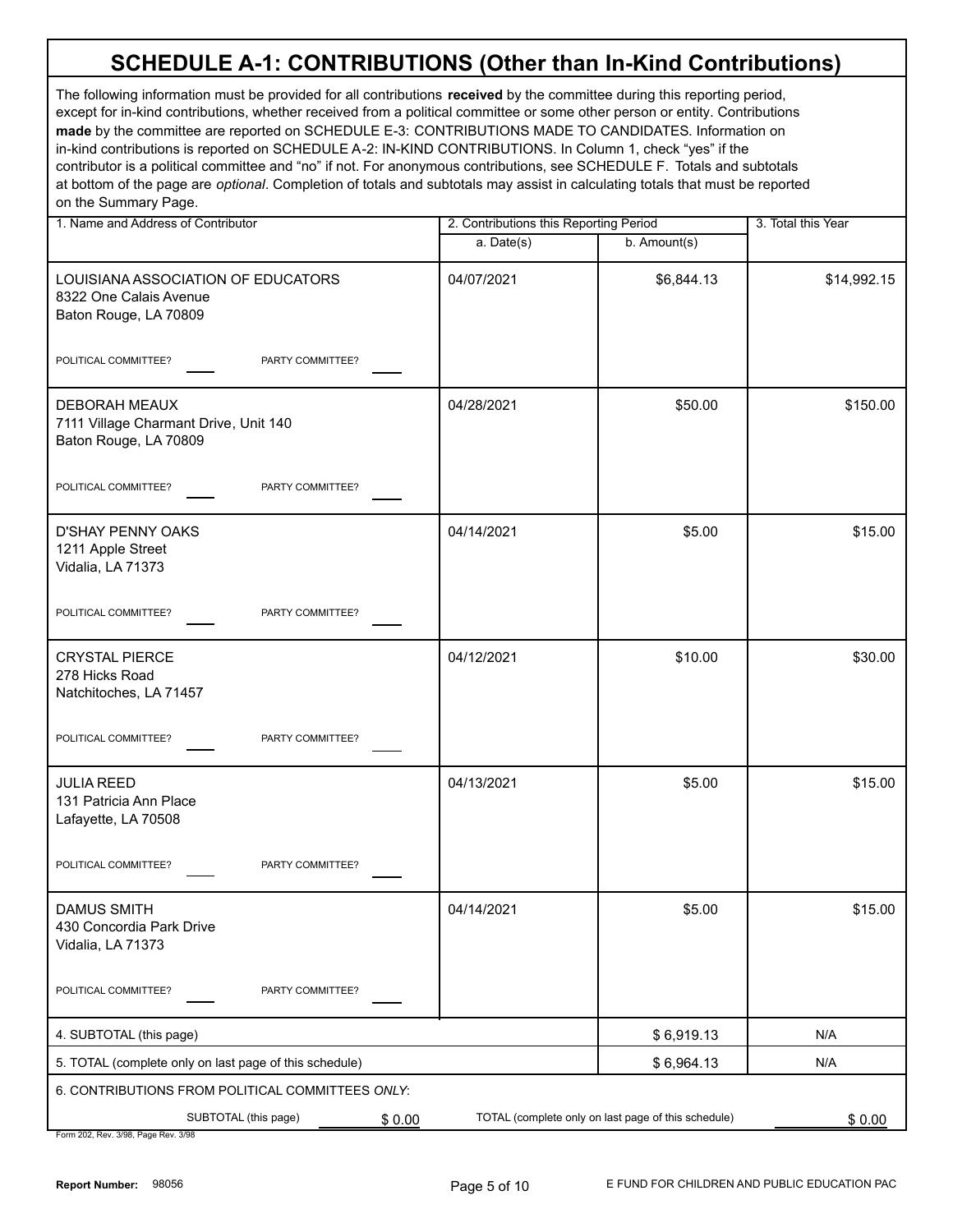# **SCHEDULE A-1: CONTRIBUTIONS (Other than In-Kind Contributions)**

The following information must be provided for all contributions **received** by the committee during this reporting period, except for in-kind contributions, whether received from a political committee or some other person or entity. Contributions **made** by the committee are reported on SCHEDULE E-3: CONTRIBUTIONS MADE TO CANDIDATES. Information on in-kind contributions is reported on SCHEDULE A-2: IN-KIND CONTRIBUTIONS. In Column 1, check "yes" if the contributor is a political committee and "no" if not. For anonymous contributions, see SCHEDULE F. Totals and subtotals at bottom of the page are *optional*. Completion of totals and subtotals may assist in calculating totals that must be reported on the Summary Page.

| 1. Name and Address of Contributor                                                    | 2. Contributions this Reporting Period |                                                     | 3. Total this Year |
|---------------------------------------------------------------------------------------|----------------------------------------|-----------------------------------------------------|--------------------|
|                                                                                       | $a.$ Date(s)                           | b. Amount(s)                                        |                    |
| LOUISIANA ASSOCIATION OF EDUCATORS<br>8322 One Calais Avenue<br>Baton Rouge, LA 70809 | 04/07/2021                             | \$6,844.13                                          | \$14,992.15        |
| POLITICAL COMMITTEE?<br>PARTY COMMITTEE?                                              |                                        |                                                     |                    |
| DEBORAH MEAUX<br>7111 Village Charmant Drive, Unit 140<br>Baton Rouge, LA 70809       | 04/28/2021                             | \$50.00                                             | \$150.00           |
| POLITICAL COMMITTEE?<br>PARTY COMMITTEE?                                              |                                        |                                                     |                    |
| <b>D'SHAY PENNY OAKS</b><br>1211 Apple Street<br>Vidalia, LA 71373                    | 04/14/2021                             | \$5.00                                              | \$15.00            |
| POLITICAL COMMITTEE?<br>PARTY COMMITTEE?                                              |                                        |                                                     |                    |
| <b>CRYSTAL PIERCE</b><br>278 Hicks Road<br>Natchitoches, LA 71457                     | 04/12/2021                             | \$10.00                                             | \$30.00            |
| POLITICAL COMMITTEE?<br>PARTY COMMITTEE?                                              |                                        |                                                     |                    |
| <b>JULIA REED</b><br>131 Patricia Ann Place<br>Lafayette, LA 70508                    | 04/13/2021                             | \$5.00                                              | \$15.00            |
| POLITICAL COMMITTEE?<br>PARTY COMMITTEE?                                              |                                        |                                                     |                    |
| <b>DAMUS SMITH</b><br>430 Concordia Park Drive<br>Vidalia, LA 71373                   | 04/14/2021                             | \$5.00                                              | \$15.00            |
| POLITICAL COMMITTEE?<br>PARTY COMMITTEE?                                              |                                        |                                                     |                    |
| 4. SUBTOTAL (this page)                                                               |                                        | \$6,919.13                                          | N/A                |
| 5. TOTAL (complete only on last page of this schedule)                                |                                        | \$6,964.13                                          | N/A                |
| 6. CONTRIBUTIONS FROM POLITICAL COMMITTEES ONLY:                                      |                                        |                                                     |                    |
| SUBTOTAL (this page)<br>\$0.00<br>Form 202 Roy 2/08 Roge Ro                           |                                        | TOTAL (complete only on last page of this schedule) | \$0.00             |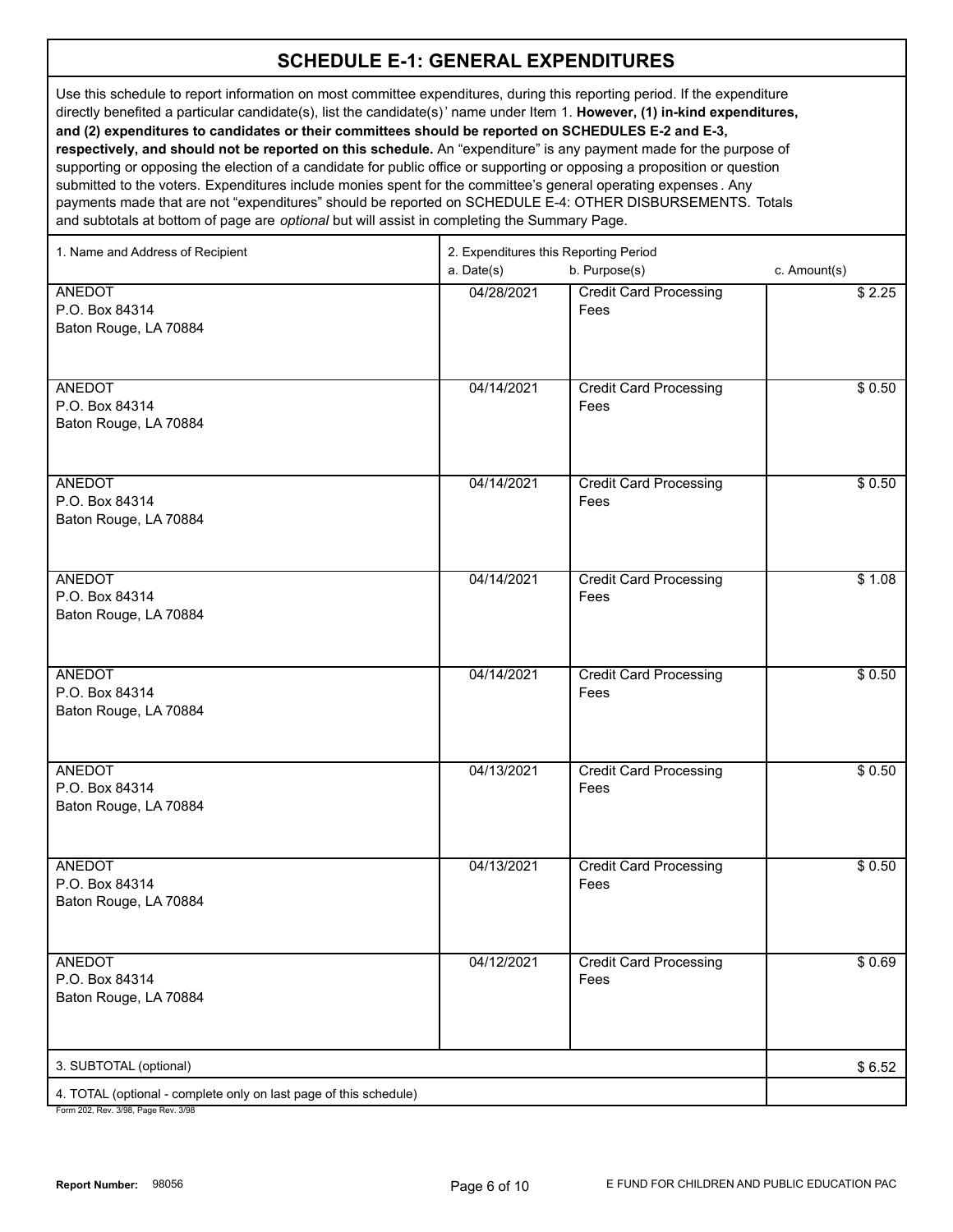#### **SCHEDULE E-1: GENERAL EXPENDITURES**

Use this schedule to report information on most committee expenditures, during this reporting period. If the expenditure directly benefited a particular candidate(s), list the candidate(s)' name under Item 1. **However, (1) in-kind expenditures, and (2) expenditures to candidates or their committees should be reported on SCHEDULES E-2 and E-3, respectively, and should not be reported on this schedule.** An "expenditure" is any payment made for the purpose of supporting or opposing the election of a candidate for public office or supporting or opposing a proposition or question submitted to the voters. Expenditures include monies spent for the committee's general operating expenses . Any payments made that are not "expenditures" should be reported on SCHEDULE E-4: OTHER DISBURSEMENTS. Totals and subtotals at bottom of page are *optional* but will assist in completing the Summary Page.

| 1. Name and Address of Recipient                                                                     | 2. Expenditures this Reporting Period<br>b. Purpose(s)<br>a. Date(s) |                                       | c. Amount(s) |
|------------------------------------------------------------------------------------------------------|----------------------------------------------------------------------|---------------------------------------|--------------|
| <b>ANEDOT</b><br>P.O. Box 84314<br>Baton Rouge, LA 70884                                             | 04/28/2021                                                           | <b>Credit Card Processing</b><br>Fees | \$2.25       |
| <b>ANEDOT</b><br>P.O. Box 84314<br>Baton Rouge, LA 70884                                             | 04/14/2021                                                           | <b>Credit Card Processing</b><br>Fees | \$0.50       |
| <b>ANEDOT</b><br>P.O. Box 84314<br>Baton Rouge, LA 70884                                             | 04/14/2021                                                           | <b>Credit Card Processing</b><br>Fees | \$0.50       |
| <b>ANEDOT</b><br>P.O. Box 84314<br>Baton Rouge, LA 70884                                             | 04/14/2021                                                           | <b>Credit Card Processing</b><br>Fees | \$1.08       |
| <b>ANEDOT</b><br>P.O. Box 84314<br>Baton Rouge, LA 70884                                             | 04/14/2021                                                           | <b>Credit Card Processing</b><br>Fees | \$0.50       |
| <b>ANEDOT</b><br>P.O. Box 84314<br>Baton Rouge, LA 70884                                             | 04/13/2021                                                           | <b>Credit Card Processing</b><br>Fees | \$0.50       |
| <b>ANEDOT</b><br>P.O. Box 84314<br>Baton Rouge, LA 70884                                             | 04/13/2021                                                           | <b>Credit Card Processing</b><br>Fees | \$0.50       |
| <b>ANEDOT</b><br>P.O. Box 84314<br>Baton Rouge, LA 70884                                             | 04/12/2021                                                           | <b>Credit Card Processing</b><br>Fees | \$0.69       |
| 3. SUBTOTAL (optional)                                                                               |                                                                      |                                       | \$6.52       |
| 4. TOTAL (optional - complete only on last page of this schedule)<br>Form 202 Roy 2/08 Rogo Roy 2/08 |                                                                      |                                       |              |

02, Rev. 3/98, Page Rev. 3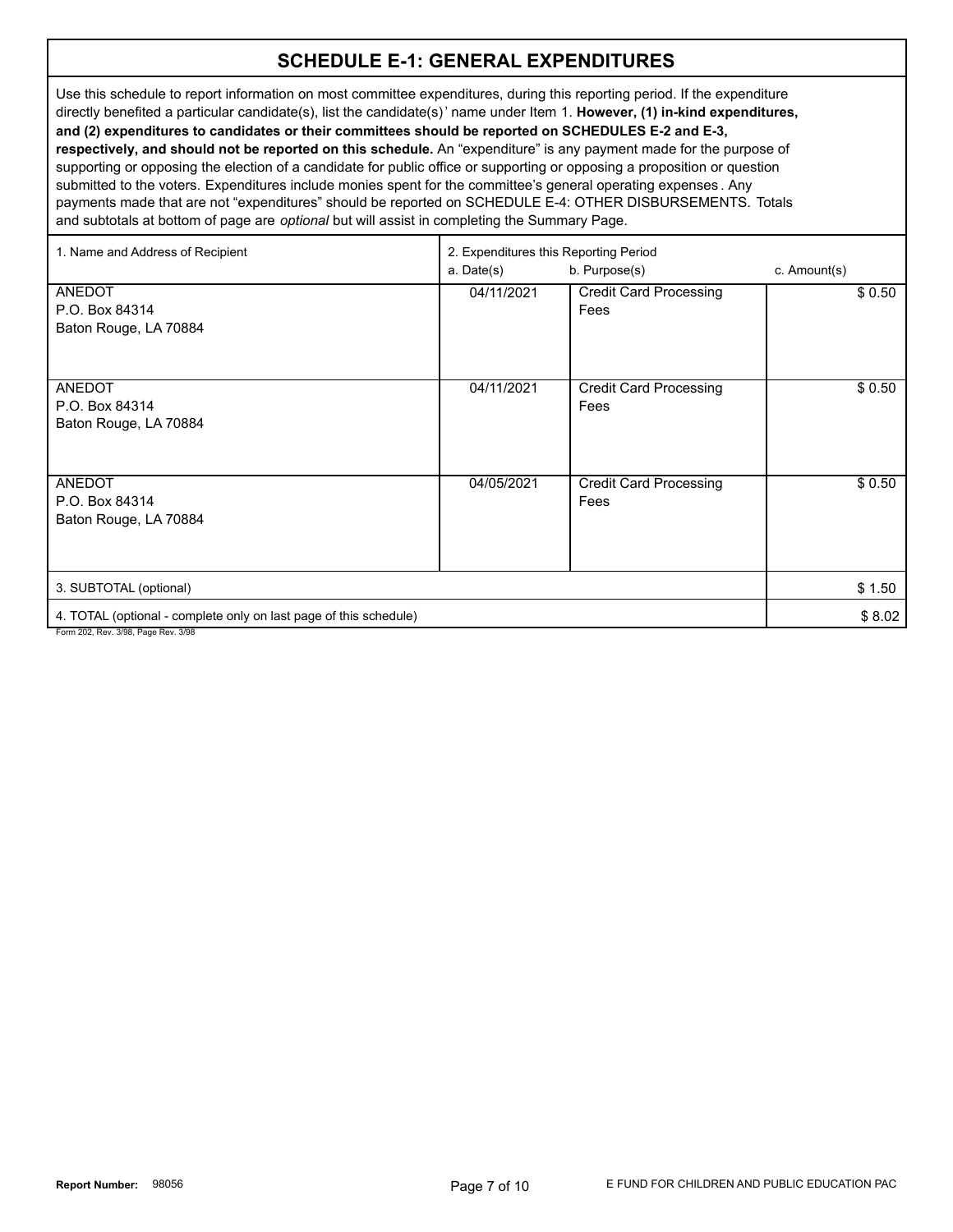#### **SCHEDULE E-1: GENERAL EXPENDITURES**

Use this schedule to report information on most committee expenditures, during this reporting period. If the expenditure directly benefited a particular candidate(s), list the candidate(s)' name under Item 1. **However, (1) in-kind expenditures, and (2) expenditures to candidates or their committees should be reported on SCHEDULES E-2 and E-3, respectively, and should not be reported on this schedule.** An "expenditure" is any payment made for the purpose of supporting or opposing the election of a candidate for public office or supporting or opposing a proposition or question submitted to the voters. Expenditures include monies spent for the committee's general operating expenses . Any payments made that are not "expenditures" should be reported on SCHEDULE E-4: OTHER DISBURSEMENTS. Totals and subtotals at bottom of page are *optional* but will assist in completing the Summary Page.

| 1. Name and Address of Recipient                                  | 2. Expenditures this Reporting Period<br>b. Purpose(s)<br>c. Amount(s)<br>a. Date(s) |                               |        |
|-------------------------------------------------------------------|--------------------------------------------------------------------------------------|-------------------------------|--------|
| ANEDOT                                                            | 04/11/2021                                                                           | <b>Credit Card Processing</b> | \$0.50 |
| P.O. Box 84314                                                    |                                                                                      | Fees                          |        |
| Baton Rouge, LA 70884                                             |                                                                                      |                               |        |
|                                                                   |                                                                                      |                               |        |
| ANEDOT                                                            | 04/11/2021                                                                           | <b>Credit Card Processing</b> | \$0.50 |
| P.O. Box 84314                                                    |                                                                                      | Fees                          |        |
| Baton Rouge, LA 70884                                             |                                                                                      |                               |        |
|                                                                   |                                                                                      |                               |        |
| ANEDOT                                                            | 04/05/2021                                                                           | <b>Credit Card Processing</b> | \$0.50 |
| P.O. Box 84314                                                    |                                                                                      | Fees                          |        |
| Baton Rouge, LA 70884                                             |                                                                                      |                               |        |
|                                                                   |                                                                                      |                               |        |
| 3. SUBTOTAL (optional)                                            |                                                                                      |                               | \$1.50 |
| 4. TOTAL (optional - complete only on last page of this schedule) |                                                                                      |                               | \$8.02 |
| Form 202, Rev. 3/98, Page Rev. 3/98                               |                                                                                      |                               |        |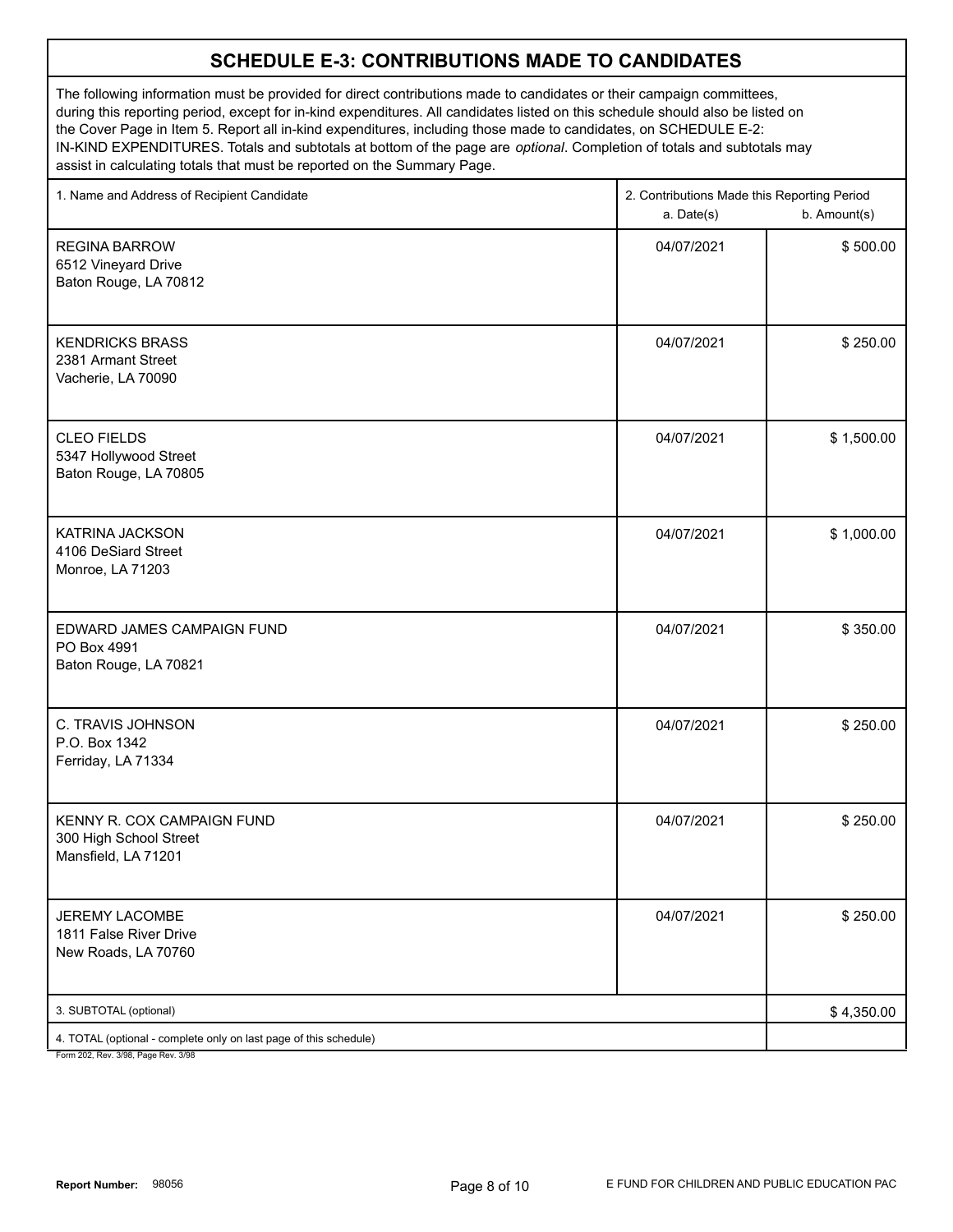#### **SCHEDULE E-3: CONTRIBUTIONS MADE TO CANDIDATES**

The following information must be provided for direct contributions made to candidates or their campaign committees, during this reporting period, except for in-kind expenditures. All candidates listed on this schedule should also be listed on the Cover Page in Item 5. Report all in-kind expenditures, including those made to candidates, on SCHEDULE E-2: IN-KIND EXPENDITURES. Totals and subtotals at bottom of the page are *optional*. Completion of totals and subtotals may assist in calculating totals that must be reported on the Summary Page.

| 1. Name and Address of Recipient Candidate                                  | 2. Contributions Made this Reporting Period<br>a. Date(s) | b. Amount(s) |  |
|-----------------------------------------------------------------------------|-----------------------------------------------------------|--------------|--|
| <b>REGINA BARROW</b><br>6512 Vineyard Drive<br>Baton Rouge, LA 70812        | 04/07/2021                                                | \$500.00     |  |
| <b>KENDRICKS BRASS</b><br>2381 Armant Street<br>Vacherie, LA 70090          | 04/07/2021                                                | \$250.00     |  |
| <b>CLEO FIELDS</b><br>5347 Hollywood Street<br>Baton Rouge, LA 70805        | 04/07/2021                                                | \$1,500.00   |  |
| <b>KATRINA JACKSON</b><br>4106 DeSiard Street<br>Monroe, LA 71203           | 04/07/2021                                                | \$1,000.00   |  |
| EDWARD JAMES CAMPAIGN FUND<br>PO Box 4991<br>Baton Rouge, LA 70821          | 04/07/2021                                                | \$350.00     |  |
| C. TRAVIS JOHNSON<br>P.O. Box 1342<br>Ferriday, LA 71334                    | 04/07/2021                                                | \$250.00     |  |
| KENNY R. COX CAMPAIGN FUND<br>300 High School Street<br>Mansfield, LA 71201 | 04/07/2021                                                | \$250.00     |  |
| <b>JEREMY LACOMBE</b><br>1811 False River Drive<br>New Roads, LA 70760      | 04/07/2021                                                | \$250.00     |  |
| 3. SUBTOTAL (optional)                                                      |                                                           | \$4,350.00   |  |
| 4. TOTAL (optional - complete only on last page of this schedule)           |                                                           |              |  |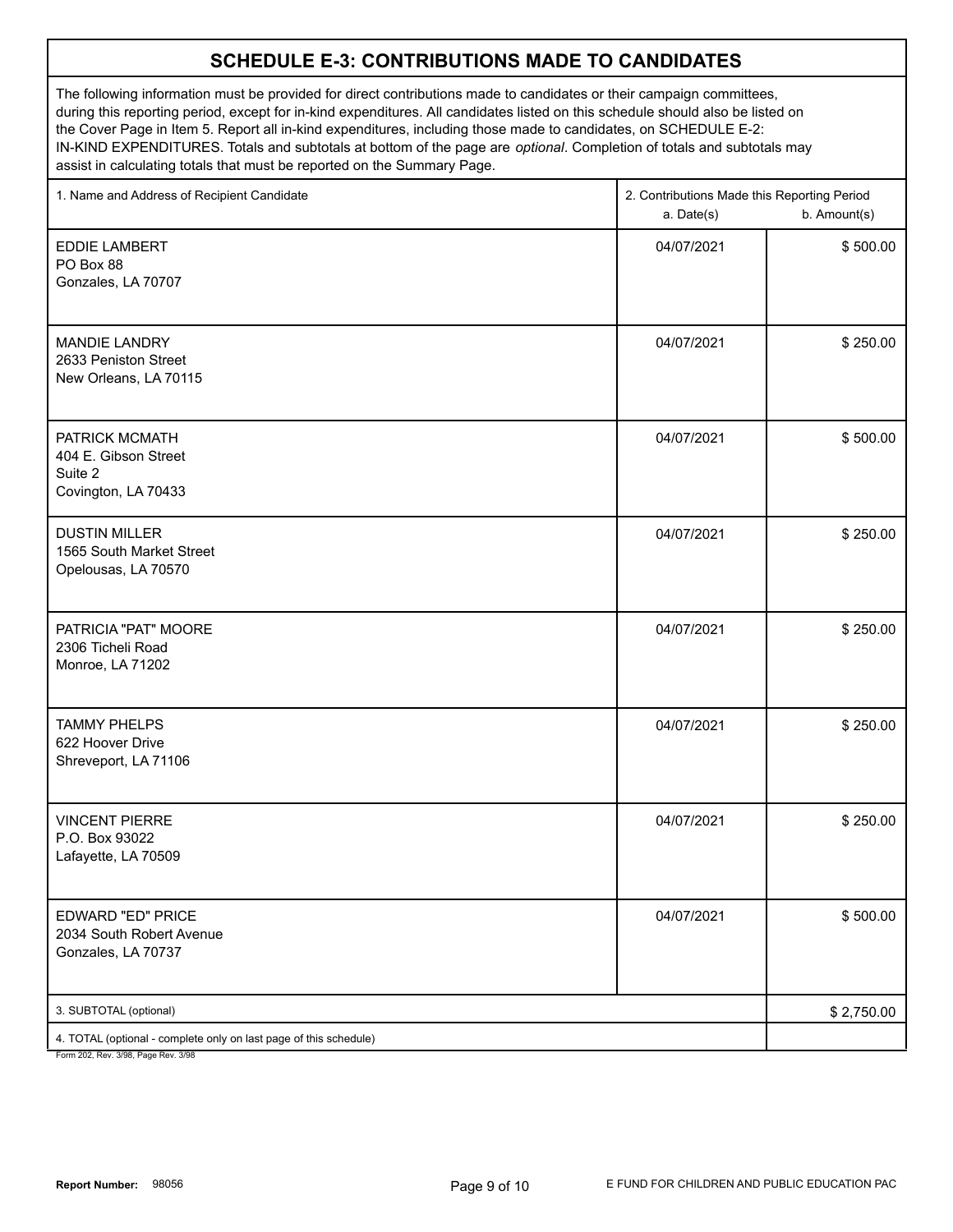#### **SCHEDULE E-3: CONTRIBUTIONS MADE TO CANDIDATES**

The following information must be provided for direct contributions made to candidates or their campaign committees, during this reporting period, except for in-kind expenditures. All candidates listed on this schedule should also be listed on the Cover Page in Item 5. Report all in-kind expenditures, including those made to candidates, on SCHEDULE E-2: IN-KIND EXPENDITURES. Totals and subtotals at bottom of the page are *optional*. Completion of totals and subtotals may assist in calculating totals that must be reported on the Summary Page.

| 1. Name and Address of Recipient Candidate                               | 2. Contributions Made this Reporting Period<br>a. Date(s) | b. Amount(s) |
|--------------------------------------------------------------------------|-----------------------------------------------------------|--------------|
| <b>EDDIE LAMBERT</b><br>PO Box 88<br>Gonzales, LA 70707                  | 04/07/2021                                                | \$500.00     |
| <b>MANDIE LANDRY</b><br>2633 Peniston Street<br>New Orleans, LA 70115    | 04/07/2021                                                | \$250.00     |
| PATRICK MCMATH<br>404 E. Gibson Street<br>Suite 2<br>Covington, LA 70433 | 04/07/2021                                                | \$500.00     |
| <b>DUSTIN MILLER</b><br>1565 South Market Street<br>Opelousas, LA 70570  | 04/07/2021                                                | \$250.00     |
| PATRICIA "PAT" MOORE<br>2306 Ticheli Road<br>Monroe, LA 71202            | 04/07/2021                                                | \$250.00     |
| <b>TAMMY PHELPS</b><br>622 Hoover Drive<br>Shreveport, LA 71106          | 04/07/2021                                                | \$250.00     |
| <b>VINCENT PIERRE</b><br>P.O. Box 93022<br>Lafayette, LA 70509           | 04/07/2021                                                | \$250.00     |
| EDWARD "ED" PRICE<br>2034 South Robert Avenue<br>Gonzales, LA 70737      | 04/07/2021                                                | \$500.00     |
| 3. SUBTOTAL (optional)                                                   |                                                           | \$2,750.00   |
| 4. TOTAL (optional - complete only on last page of this schedule)        |                                                           |              |